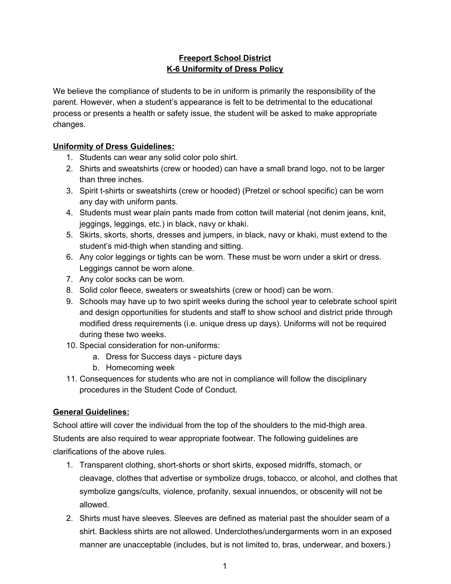## **Freeport School District K-6 Uniformity of Dress Policy**

We believe the compliance of students to be in uniform is primarily the responsibility of the parent. However, when a student's appearance is felt to be detrimental to the educational process or presents a health or safety issue, the student will be asked to make appropriate changes.

## **Uniformity of Dress Guidelines:**

- 1. Students can wear any solid color polo shirt.
- 2. Shirts and sweatshirts (crew or hooded) can have a small brand logo, not to be larger than three inches.
- 3. Spirit t-shirts or sweatshirts (crew or hooded) (Pretzel or school specific) can be worn any day with uniform pants.
- 4. Students must wear plain pants made from cotton twill material (not denim jeans, knit, jeggings, leggings, etc.) in black, navy or khaki.
- 5. Skirts, skorts, shorts, dresses and jumpers, in black, navy or khaki, must extend to the student's mid-thigh when standing and sitting.
- 6. Any color leggings or tights can be worn. These must be worn under a skirt or dress. Leggings cannot be worn alone.
- 7. Any color socks can be worn.
- 8. Solid color fleece, sweaters or sweatshirts (crew or hood) can be worn.
- 9. Schools may have up to two spirit weeks during the school year to celebrate school spirit and design opportunities for students and staff to show school and district pride through modified dress requirements (i.e. unique dress up days). Uniforms will not be required during these two weeks.
- 10. Special consideration for non-uniforms:
	- a. Dress for Success days picture days
	- b. Homecoming week
- 11. Consequences for students who are not in compliance will follow the disciplinary procedures in the Student Code of Conduct.

## **General Guidelines:**

School attire will cover the individual from the top of the shoulders to the mid-thigh area. Students are also required to wear appropriate footwear. The following guidelines are clarifications of the above rules.

- 1. Transparent clothing, short-shorts or short skirts, exposed midriffs, stomach, or cleavage, clothes that advertise or symbolize drugs, tobacco, or alcohol, and clothes that symbolize gangs/cults, violence, profanity, sexual innuendos, or obscenity will not be allowed.
- 2. Shirts must have sleeves. Sleeves are defined as material past the shoulder seam of a shirt. Backless shirts are not allowed. Underclothes/undergarments worn in an exposed manner are unacceptable (includes, but is not limited to, bras, underwear, and boxers.)